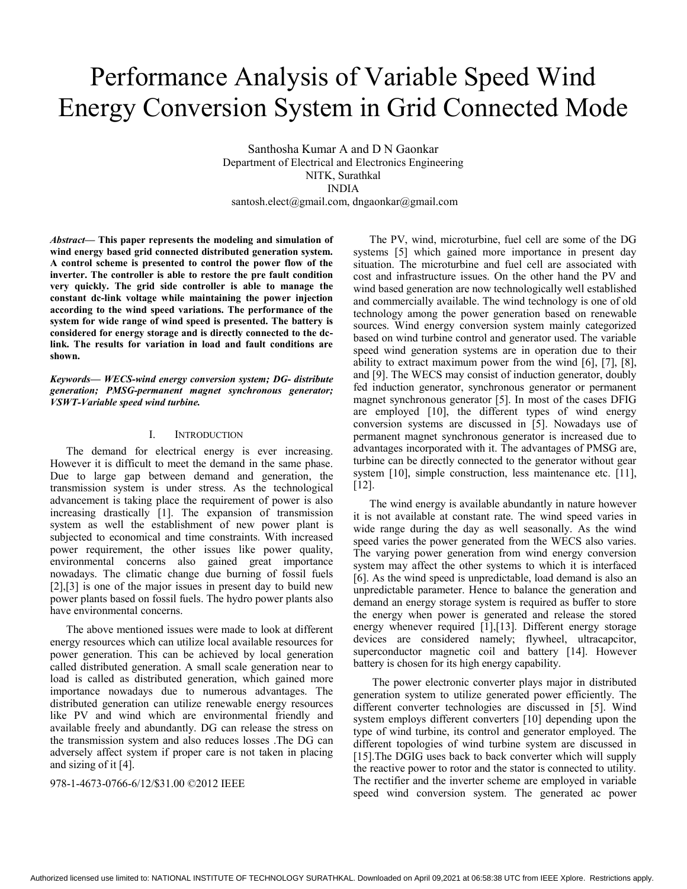# Performance Analysis of Variable Speed Wind Energy Conversion System in Grid Connected Mode

Santhosha Kumar A and D N Gaonkar Department of Electrical and Electronics Engineering NITK, Surathkal INDIA

santosh.elect@gmail.com, dngaonkar@gmail.com

*Abstract***— This paper represents the modeling and simulation of wind energy based grid connected distributed generation system. A control scheme is presented to control the power flow of the inverter. The controller is able to restore the pre fault condition very quickly. The grid side controller is able to manage the constant dc-link voltage while maintaining the power injection according to the wind speed variations. The performance of the system for wide range of wind speed is presented. The battery is considered for energy storage and is directly connected to the dclink. The results for variation in load and fault conditions are shown.** 

*Keywords— WECS-wind energy conversion system; DG- distribute generation; PMSG-permanent magnet synchronous generator; VSWT-Variable speed wind turbine.* 

## I. INTRODUCTION

The demand for electrical energy is ever increasing. However it is difficult to meet the demand in the same phase. Due to large gap between demand and generation, the transmission system is under stress. As the technological advancement is taking place the requirement of power is also increasing drastically [1]. The expansion of transmission system as well the establishment of new power plant is subjected to economical and time constraints. With increased power requirement, the other issues like power quality, environmental concerns also gained great importance nowadays. The climatic change due burning of fossil fuels [2],[3] is one of the major issues in present day to build new power plants based on fossil fuels. The hydro power plants also have environmental concerns.

The above mentioned issues were made to look at different energy resources which can utilize local available resources for power generation. This can be achieved by local generation called distributed generation. A small scale generation near to load is called as distributed generation, which gained more importance nowadays due to numerous advantages. The distributed generation can utilize renewable energy resources like PV and wind which are environmental friendly and available freely and abundantly. DG can release the stress on the transmission system and also reduces losses .The DG can adversely affect system if proper care is not taken in placing and sizing of it [4].

978-1-4673-0766-6/12/\$31.00 ©2012 IEEE

The PV, wind, microturbine, fuel cell are some of the DG systems [5] which gained more importance in present day situation. The microturbine and fuel cell are associated with cost and infrastructure issues. On the other hand the PV and wind based generation are now technologically well established and commercially available. The wind technology is one of old technology among the power generation based on renewable sources. Wind energy conversion system mainly categorized based on wind turbine control and generator used. The variable speed wind generation systems are in operation due to their ability to extract maximum power from the wind [6], [7], [8], and [9]. The WECS may consist of induction generator, doubly fed induction generator, synchronous generator or permanent magnet synchronous generator [5]. In most of the cases DFIG are employed [10], the different types of wind energy conversion systems are discussed in [5]. Nowadays use of permanent magnet synchronous generator is increased due to advantages incorporated with it. The advantages of PMSG are, turbine can be directly connected to the generator without gear system [10], simple construction, less maintenance etc. [11], [12].

The wind energy is available abundantly in nature however it is not available at constant rate. The wind speed varies in wide range during the day as well seasonally. As the wind speed varies the power generated from the WECS also varies. The varying power generation from wind energy conversion system may affect the other systems to which it is interfaced [6]. As the wind speed is unpredictable, load demand is also an unpredictable parameter. Hence to balance the generation and demand an energy storage system is required as buffer to store the energy when power is generated and release the stored energy whenever required [1],[13]. Different energy storage devices are considered namely; flywheel, ultracapcitor, superconductor magnetic coil and battery [14]. However battery is chosen for its high energy capability.

 The power electronic converter plays major in distributed generation system to utilize generated power efficiently. The different converter technologies are discussed in [5]. Wind system employs different converters [10] depending upon the type of wind turbine, its control and generator employed. The different topologies of wind turbine system are discussed in [15].The DGIG uses back to back converter which will supply the reactive power to rotor and the stator is connected to utility. The rectifier and the inverter scheme are employed in variable speed wind conversion system. The generated ac power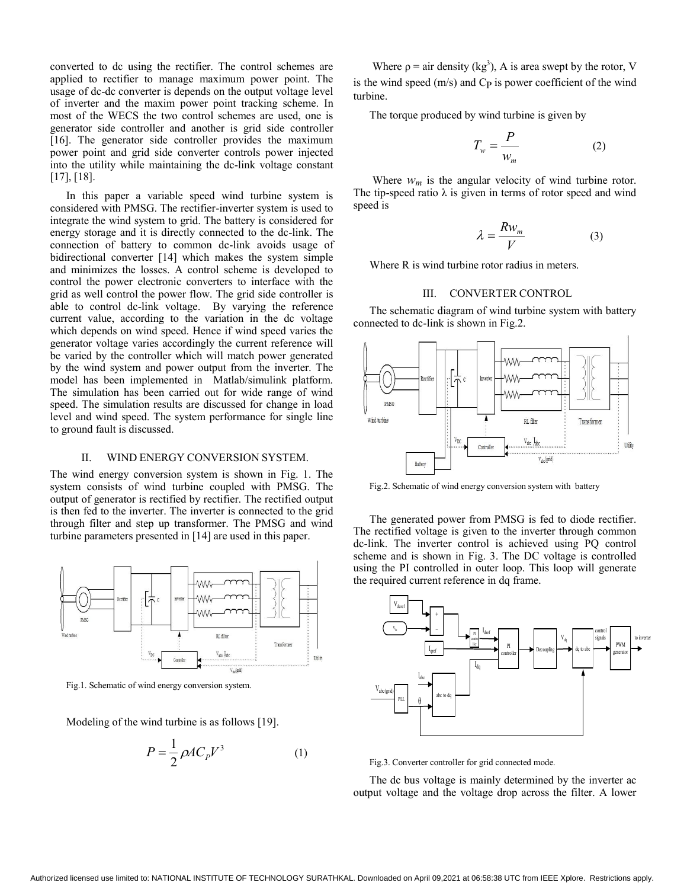converted to dc using the rectifier. The control schemes are applied to rectifier to manage maximum power point. The usage of dc-dc converter is depends on the output voltage level of inverter and the maxim power point tracking scheme. In most of the WECS the two control schemes are used, one is generator side controller and another is grid side controller [16]. The generator side controller provides the maximum power point and grid side converter controls power injected into the utility while maintaining the dc-link voltage constant [17], [18].

In this paper a variable speed wind turbine system is considered with PMSG. The rectifier-inverter system is used to integrate the wind system to grid. The battery is considered for energy storage and it is directly connected to the dc-link. The connection of battery to common dc-link avoids usage of bidirectional converter [14] which makes the system simple and minimizes the losses. A control scheme is developed to control the power electronic converters to interface with the grid as well control the power flow. The grid side controller is able to control dc-link voltage. By varying the reference current value, according to the variation in the dc voltage which depends on wind speed. Hence if wind speed varies the generator voltage varies accordingly the current reference will be varied by the controller which will match power generated by the wind system and power output from the inverter. The model has been implemented in Matlab/simulink platform. The simulation has been carried out for wide range of wind speed. The simulation results are discussed for change in load level and wind speed. The system performance for single line to ground fault is discussed.

# II. WIND ENERGY CONVERSION SYSTEM.

The wind energy conversion system is shown in Fig. 1. The system consists of wind turbine coupled with PMSG. The output of generator is rectified by rectifier. The rectified output is then fed to the inverter. The inverter is connected to the grid through filter and step up transformer. The PMSG and wind turbine parameters presented in [14] are used in this paper.



Fig.1. Schematic of wind energy conversion system.

Modeling of the wind turbine is as follows [19].

$$
P = \frac{1}{2} \rho A C_p V^3 \tag{1}
$$

Where  $\rho =$  air density (kg<sup>3</sup>), A is area swept by the rotor, V is the wind speed  $(m/s)$  and  $C<sub>P</sub>$  is power coefficient of the wind turbine.

The torque produced by wind turbine is given by

$$
T_w = \frac{P}{W_m} \tag{2}
$$

Where  $w_m$  is the angular velocity of wind turbine rotor. The tip-speed ratio  $\lambda$  is given in terms of rotor speed and wind speed is

$$
\lambda = \frac{R w_m}{V} \tag{3}
$$

Where R is wind turbine rotor radius in meters.

#### III. CONVERTER CONTROL

The schematic diagram of wind turbine system with battery connected to dc-link is shown in Fig.2.



Fig.2. Schematic of wind energy conversion system with battery

The generated power from PMSG is fed to diode rectifier. The rectified voltage is given to the inverter through common dc-link. The inverter control is achieved using PQ control scheme and is shown in Fig. 3. The DC voltage is controlled using the PI controlled in outer loop. This loop will generate the required current reference in dq frame.



Fig.3. Converter controller for grid connected mode.

The dc bus voltage is mainly determined by the inverter ac output voltage and the voltage drop across the filter. A lower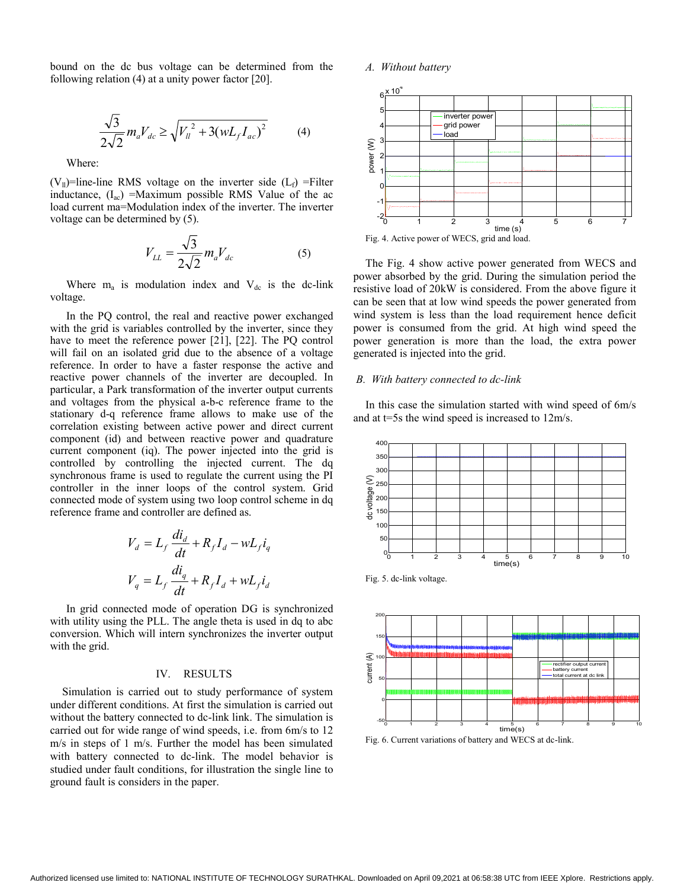bound on the dc bus voltage can be determined from the following relation (4) at a unity power factor [20].

$$
\frac{\sqrt{3}}{2\sqrt{2}} m_a V_{dc} \ge \sqrt{V_{ll}^2 + 3(wL_f I_{ac})^2}
$$
 (4)

Where:

 $(V_{\parallel})$ =line-line RMS voltage on the inverter side (L<sub>f</sub>) =Filter inductance,  $(I_{ac})$  =Maximum possible RMS Value of the ac load current ma=Modulation index of the inverter. The inverter voltage can be determined by (5).

$$
V_{LL} = \frac{\sqrt{3}}{2\sqrt{2}} m_a V_{dc}
$$
 (5)

Where  $m_a$  is modulation index and  $V_{dc}$  is the dc-link voltage.

In the PQ control, the real and reactive power exchanged with the grid is variables controlled by the inverter, since they have to meet the reference power [21], [22]. The PQ control will fail on an isolated grid due to the absence of a voltage reference. In order to have a faster response the active and reactive power channels of the inverter are decoupled. In particular, a Park transformation of the inverter output currents and voltages from the physical a-b-c reference frame to the stationary d-q reference frame allows to make use of the correlation existing between active power and direct current component (id) and between reactive power and quadrature current component (iq). The power injected into the grid is controlled by controlling the injected current. The dq synchronous frame is used to regulate the current using the PI controller in the inner loops of the control system. Grid connected mode of system using two loop control scheme in dq reference frame and controller are defined as.

$$
V_d = L_f \frac{di_d}{dt} + R_f I_d - w L_f i_q
$$
  

$$
V_q = L_f \frac{di_q}{dt} + R_f I_d + w L_f i_d
$$

In grid connected mode of operation DG is synchronized with utility using the PLL. The angle theta is used in dq to abc conversion. Which will intern synchronizes the inverter output with the grid.

### IV. RESULTS

Simulation is carried out to study performance of system under different conditions. At first the simulation is carried out without the battery connected to dc-link link. The simulation is carried out for wide range of wind speeds, i.e. from 6m/s to 12 m/s in steps of 1 m/s. Further the model has been simulated with battery connected to dc-link. The model behavior is studied under fault conditions, for illustration the single line to ground fault is considers in the paper.

#### *A. Without battery*





The Fig. 4 show active power generated from WECS and power absorbed by the grid. During the simulation period the resistive load of 20kW is considered. From the above figure it can be seen that at low wind speeds the power generated from wind system is less than the load requirement hence deficit power is consumed from the grid. At high wind speed the power generation is more than the load, the extra power generated is injected into the grid.

#### *B. With battery connected to dc-link*

In this case the simulation started with wind speed of 6m/s and at t=5s the wind speed is increased to 12m/s.



Fig. 5. dc-link voltage.



Fig. 6. Current variations of battery and WECS at dc-link.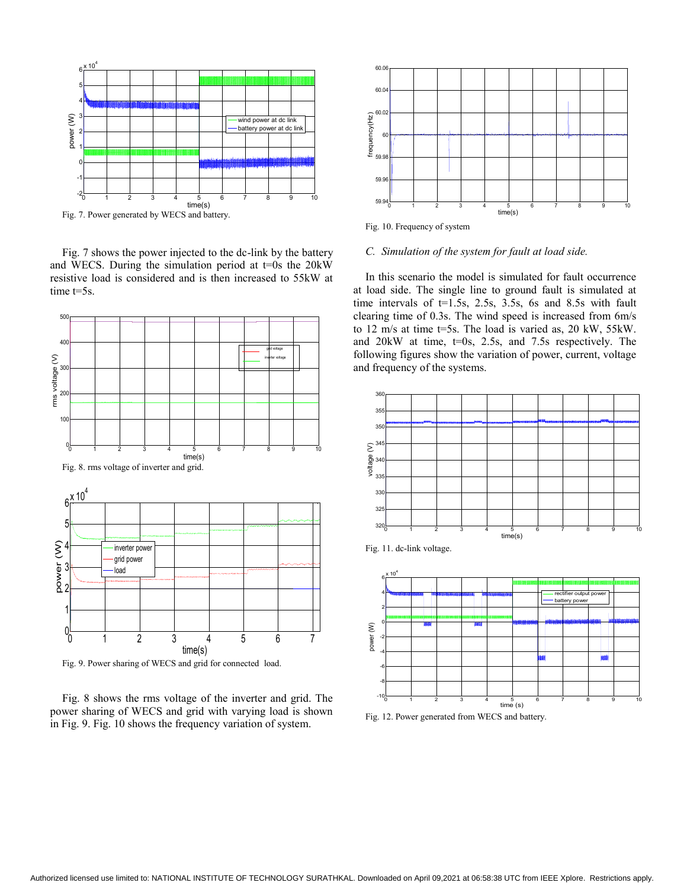

Fig. 7. Power generated by WECS and battery.

Fig. 7 shows the power injected to the dc-link by the battery and WECS. During the simulation period at  $t=0$ s the 20kW resistive load is considered and is then increased to 55kW at time t=5s.



Fig. 8 shows the rms voltage of the inverter and grid. The power sharing of WECS and grid with varying load is shown in Fig. 9. Fig. 10 shows the frequency variation of system.



Fig. 10. Frequency of system

### *C. Simulation of the system for fault at load side.*

In this scenario the model is simulated for fault occurrence at load side. The single line to ground fault is simulated at time intervals of  $t=1.5s$ , 2.5s, 3.5s, 6s and 8.5s with fault clearing time of 0.3s. The wind speed is increased from 6m/s to 12 m/s at time t=5s. The load is varied as, 20 kW, 55kW. and 20kW at time, t=0s, 2.5s, and 7.5s respectively. The following figures show the variation of power, current, voltage and frequency of the systems.



Fig. 12. Power generated from WECS and battery.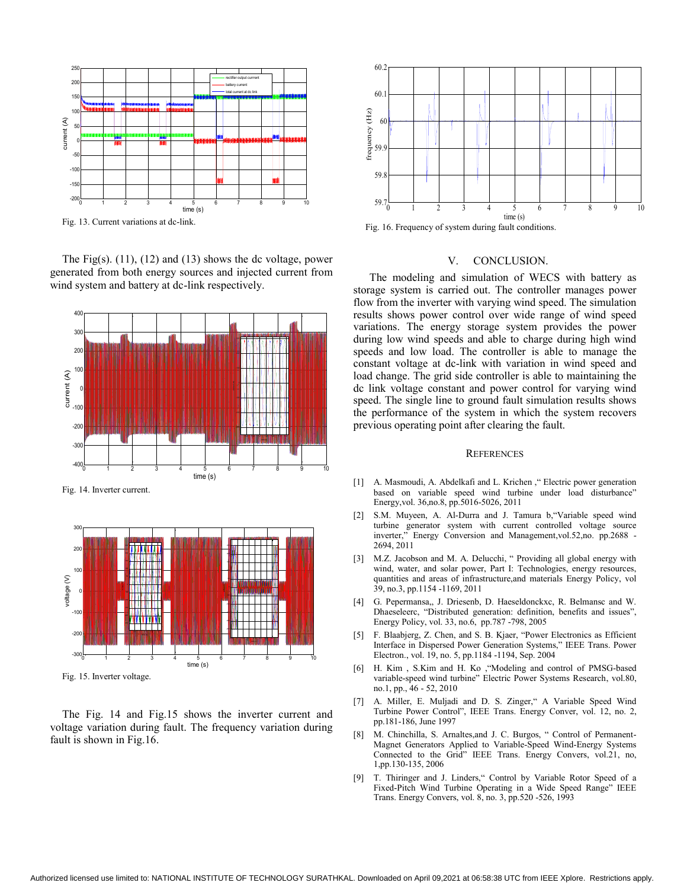

Fig. 13. Current variations at dc-link.

The Fig(s). (11), (12) and (13) shows the dc voltage, power generated from both energy sources and injected current from wind system and battery at dc-link respectively.



Fig. 14. Inverter current.



The Fig. 14 and Fig.15 shows the inverter current and voltage variation during fault. The frequency variation during fault is shown in Fig.16.



Fig. 16. Frequency of system during fault conditions.

### V. CONCLUSION.

The modeling and simulation of WECS with battery as storage system is carried out. The controller manages power flow from the inverter with varying wind speed. The simulation results shows power control over wide range of wind speed variations. The energy storage system provides the power during low wind speeds and able to charge during high wind speeds and low load. The controller is able to manage the constant voltage at dc-link with variation in wind speed and load change. The grid side controller is able to maintaining the dc link voltage constant and power control for varying wind speed. The single line to ground fault simulation results shows the performance of the system in which the system recovers previous operating point after clearing the fault.

#### **REFERENCES**

- [1] A. Masmoudi, A. Abdelkafi and L. Krichen ," Electric power generation based on variable speed wind turbine under load disturbance" Energy,vol. 36,no.8, pp.5016-5026, 2011
- [2] S.M. Muyeen, A. Al-Durra and J. Tamura b,"Variable speed wind turbine generator system with current controlled voltage source inverter," Energy Conversion and Management,vol.52,no. pp.2688 - 2694, 2011
- [3] M.Z. Jacobson and M. A. Delucchi, " Providing all global energy with wind, water, and solar power, Part I: Technologies, energy resources, quantities and areas of infrastructure,and materials Energy Policy, vol 39, no.3, pp.1154 -1169, 2011
- [4] G. Pepermansa,, J. Driesenb, D. Haeseldonckxc, R. Belmansc and W. Dhaeseleerc, "Distributed generation: definition, benefits and issues", Energy Policy, vol. 33, no.6, pp.787 -798, 2005
- [5] F. Blaabjerg, Z. Chen, and S. B. Kjaer, "Power Electronics as Efficient Interface in Dispersed Power Generation Systems," IEEE Trans. Power Electron., vol. 19, no. 5, pp.1184 -1194, Sep. 2004
- [6] H. Kim , S.Kim and H. Ko ,"Modeling and control of PMSG-based variable-speed wind turbine" Electric Power Systems Research, vol.80, no.1, pp., 46 - 52, 2010
- [7] A. Miller, E. Muljadi and D. S. Zinger," A Variable Speed Wind Turbine Power Control", IEEE Trans. Energy Conver, vol. 12, no. 2, pp.181-186, June 1997
- [8] M. Chinchilla, S. Arnaltes, and J. C. Burgos, " Control of Permanent-Magnet Generators Applied to Variable-Speed Wind-Energy Systems Connected to the Grid" IEEE Trans. Energy Convers, vol.21, no, 1,pp.130-135, 2006
- [9] T. Thiringer and J. Linders," Control by Variable Rotor Speed of a Fixed-Pitch Wind Turbine Operating in a Wide Speed Range" IEEE Trans. Energy Convers, vol. 8, no. 3, pp.520 -526, 1993